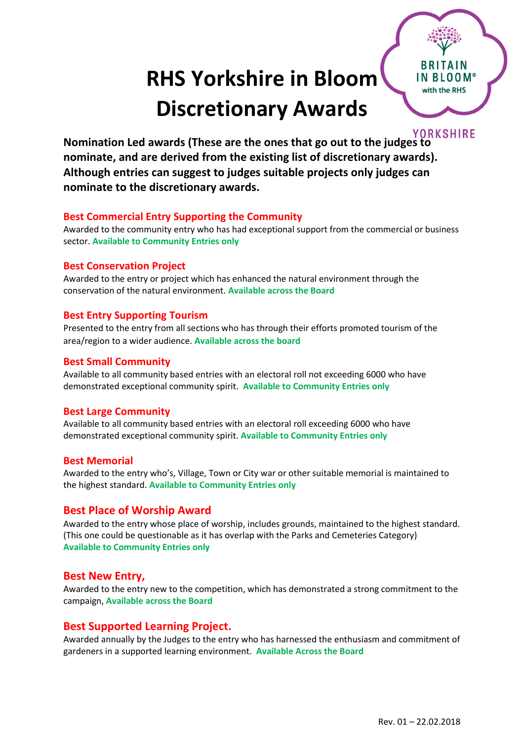# <sup>R</sup>**RHS Yorkshire in Bloom Discretionary Awards**



**Nomination Led awards (These are the ones that go out to the judges to nominate, and are derived from the existing list of discretionary awards). Although entries can suggest to judges suitable projects only judges can nominate to the discretionary awards.**

### **Best Commercial Entry Supporting the Community**

Awarded to the community entry who has had exceptional support from the commercial or business sector. **Available to Community Entries only**

#### **Best Conservation Project**

Awarded to the entry or project which has enhanced the natural environment through the conservation of the natural environment. **Available across the Board**

### **Best Entry Supporting Tourism**

Presented to the entry from all sections who has through their efforts promoted tourism of the area/region to a wider audience. **Available across the board**

#### **Best Small Community**

Available to all community based entries with an electoral roll not exceeding 6000 who have demonstrated exceptional community spirit. **Available to Community Entries only**

### **Best Large Community**

Available to all community based entries with an electoral roll exceeding 6000 who have demonstrated exceptional community spirit. **Available to Community Entries only**

#### **Best Memorial**

Awarded to the entry who's, Village, Town or City war or other suitable memorial is maintained to the highest standard. **Available to Community Entries only**

### **Best Place of Worship Award**

Awarded to the entry whose place of worship, includes grounds, maintained to the highest standard. (This one could be questionable as it has overlap with the Parks and Cemeteries Category) **Available to Community Entries only**

### **Best New Entry,**

Awarded to the entry new to the competition, which has demonstrated a strong commitment to the campaign, **Available across the Board**

### **Best Supported Learning Project.**

Awarded annually by the Judges to the entry who has harnessed the enthusiasm and commitment of gardeners in a supported learning environment. **Available Across the Board**